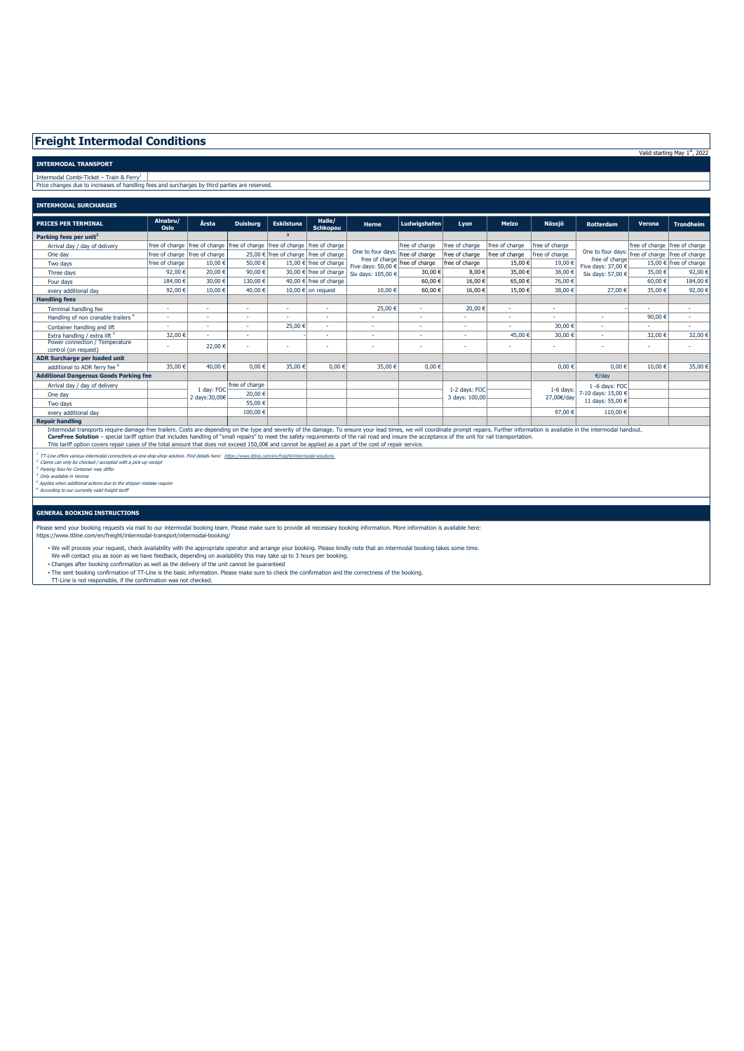## **Freight Intermodal Conditions**

**INTERMODAL TRANSPORT**

Intermodal Combi-Ticket – Train & Ferry<sup>1</sup> |<br>Price changes due to increases of handling fees and surcharges by third parties are reserved.

| <b>INTERMODAL SURCHARGES</b>                                                                                                                                                                                                                                                                                                                                                                                                                                                                                                                                                                    |                                 |                             |                                                                                |                                       |                           |                                                                           |                |                                 |                |                    |                                                                                                              |                                 |                        |
|-------------------------------------------------------------------------------------------------------------------------------------------------------------------------------------------------------------------------------------------------------------------------------------------------------------------------------------------------------------------------------------------------------------------------------------------------------------------------------------------------------------------------------------------------------------------------------------------------|---------------------------------|-----------------------------|--------------------------------------------------------------------------------|---------------------------------------|---------------------------|---------------------------------------------------------------------------|----------------|---------------------------------|----------------|--------------------|--------------------------------------------------------------------------------------------------------------|---------------------------------|------------------------|
| <b>PRICES PER TERMINAL</b>                                                                                                                                                                                                                                                                                                                                                                                                                                                                                                                                                                      | Alnabru/<br>Oslo                | Årsta                       | <b>Duisburg</b>                                                                | <b>Eskilstuna</b>                     | Halle/<br><b>Schkopau</b> | Herne                                                                     | Ludwigshafen   | Lyon                            | Melzo          | Nässjö             | <b>Rotterdam</b>                                                                                             | Verona                          | <b>Trondheim</b>       |
| Parking fees per unit <sup>2</sup>                                                                                                                                                                                                                                                                                                                                                                                                                                                                                                                                                              |                                 |                             |                                                                                | 3 <sup>2</sup>                        |                           |                                                                           |                |                                 |                |                    |                                                                                                              |                                 |                        |
| Arrival day / day of delivery                                                                                                                                                                                                                                                                                                                                                                                                                                                                                                                                                                   |                                 |                             | free of charge Ifree of charge Ifree of charge Ifree of charge Ifree of charge |                                       |                           |                                                                           | free of charge | free of charge                  | free of charge | free of charge     |                                                                                                              | free of charge I free of charge |                        |
| One day                                                                                                                                                                                                                                                                                                                                                                                                                                                                                                                                                                                         | free of charge   free of charge |                             |                                                                                | 25.00 € free of charge free of charge |                           | One to four days: Free of charge                                          |                | free of charge                  | free of charge | free of charge     | One to four days: Free of charge free of charge<br>free of charge<br>Five days: 37,00 €<br>Six days: 57,00 € |                                 |                        |
| Two days                                                                                                                                                                                                                                                                                                                                                                                                                                                                                                                                                                                        | free of charge                  | 10,00€                      | 50,00€                                                                         |                                       | 15.00 € free of charge    | free of charge free of charge<br>Five days: 50,00 €<br>Six days: 105,00 € |                | free of charge                  | 15.00€         | 19.00 €            |                                                                                                              |                                 | 15.00 € free of charge |
| Three days                                                                                                                                                                                                                                                                                                                                                                                                                                                                                                                                                                                      | 92,00€                          | 20,00€                      | 90,00€                                                                         |                                       | 30,00 € free of charge    |                                                                           | 30,00 €        | 8.00€                           | 35,00€         | 38,00 €            |                                                                                                              | 35,00 €                         | 92,00 €                |
| Four days                                                                                                                                                                                                                                                                                                                                                                                                                                                                                                                                                                                       | 184.00 €                        | 30,00 €                     | 130.00 €                                                                       |                                       | 40.00 € free of charge    |                                                                           | 60,00€         | 16,00 €                         | 65,00€         | 76,00 €            |                                                                                                              | 60,00 €                         | 184,00 €               |
| every additional day                                                                                                                                                                                                                                                                                                                                                                                                                                                                                                                                                                            | 92,00€                          | 10.00€                      | 40.00 €                                                                        |                                       | 10.00 € on request        | 10.00€                                                                    | 60,00€         | 16.00€                          | 15.00€         | 38,00 €            | 27,00 €                                                                                                      | 35,00 €                         | 92,00 €                |
| <b>Handling fees</b>                                                                                                                                                                                                                                                                                                                                                                                                                                                                                                                                                                            |                                 |                             |                                                                                |                                       |                           |                                                                           |                |                                 |                |                    |                                                                                                              |                                 |                        |
| Terminal handling fee                                                                                                                                                                                                                                                                                                                                                                                                                                                                                                                                                                           | ×.                              | ×.                          | ٠                                                                              |                                       | ٠                         | 25,00 €                                                                   | ×.             | 20,00 €                         | ×.             | ٠                  |                                                                                                              |                                 | ×.                     |
| Handling of non cranable trailers <sup>4</sup>                                                                                                                                                                                                                                                                                                                                                                                                                                                                                                                                                  |                                 | н.                          | ٠                                                                              |                                       | ٠                         |                                                                           | н.             |                                 |                |                    |                                                                                                              | 90,00€                          | ٠                      |
| Container handling and lift                                                                                                                                                                                                                                                                                                                                                                                                                                                                                                                                                                     |                                 | н.                          | ٠                                                                              | 25,00 €                               | ٠                         | $\overline{a}$                                                            | н.             | $\overline{a}$                  |                | 30,00 €            |                                                                                                              |                                 |                        |
| Extra handling / extra lift 5                                                                                                                                                                                                                                                                                                                                                                                                                                                                                                                                                                   | 32,00 €                         | ×.                          | ٠                                                                              |                                       | ٠                         | ٠                                                                         | н.             | $\overline{a}$                  | 45,00 €        | 30,00 €            |                                                                                                              | 32,00 €                         | 32,00 €                |
| Power connection / Temperature<br>control (on request)                                                                                                                                                                                                                                                                                                                                                                                                                                                                                                                                          |                                 | 22,00 €                     | ٠                                                                              |                                       | ٠                         |                                                                           |                | $\overline{a}$                  |                | ٠                  |                                                                                                              |                                 |                        |
| ADR Surcharge per loaded unit                                                                                                                                                                                                                                                                                                                                                                                                                                                                                                                                                                   |                                 |                             |                                                                                |                                       |                           |                                                                           |                |                                 |                |                    |                                                                                                              |                                 |                        |
| additional to ADR ferry fee <sup>6</sup>                                                                                                                                                                                                                                                                                                                                                                                                                                                                                                                                                        | 35.00 €                         | 40,00 €                     | $0.00 \in$                                                                     | 35,00 €                               | $0.00 \in$                | 35,00 €                                                                   | $0.00 \in$     |                                 |                | $0.00 \in$         | $0.00 \in$                                                                                                   | 10.00€                          | 35,00 €                |
| <b>Additional Dangerous Goods Parking fee</b>                                                                                                                                                                                                                                                                                                                                                                                                                                                                                                                                                   |                                 |                             |                                                                                |                                       |                           |                                                                           |                |                                 |                |                    | €/day                                                                                                        |                                 |                        |
| Arrival day / day of delivery                                                                                                                                                                                                                                                                                                                                                                                                                                                                                                                                                                   |                                 | L dav: FOC<br>2 days:30,00€ | free of charge                                                                 |                                       |                           |                                                                           |                | 1-2 days: FOC<br>3 days: 100,00 |                | $1-6$ days:        | 1 -6 days: FOC                                                                                               |                                 |                        |
| One day                                                                                                                                                                                                                                                                                                                                                                                                                                                                                                                                                                                         |                                 |                             | 20,00 €                                                                        |                                       |                           |                                                                           |                |                                 | 27,00€/day     | 7-10 davs: 15.00 € |                                                                                                              |                                 |                        |
| Two days                                                                                                                                                                                                                                                                                                                                                                                                                                                                                                                                                                                        |                                 |                             | 55.00 €                                                                        |                                       |                           |                                                                           |                |                                 |                | 11 days: 55,00 €   |                                                                                                              |                                 |                        |
| every additional day                                                                                                                                                                                                                                                                                                                                                                                                                                                                                                                                                                            |                                 |                             | 100.00€                                                                        |                                       |                           |                                                                           |                |                                 |                | 97,00 €            | 110,00 €                                                                                                     |                                 |                        |
| <b>Repair handling</b>                                                                                                                                                                                                                                                                                                                                                                                                                                                                                                                                                                          |                                 |                             |                                                                                |                                       |                           |                                                                           |                |                                 |                |                    |                                                                                                              |                                 |                        |
| Intermodal transports require damage free trailers. Costs are depending on the type and severity of the damage. To ensure your lead times, we will coordinate prompt repairs. Further information is available in the intermod<br>CareFree Solution - special tariff option that includes handling of "small repairs" to meet the safety requirements of the rail road and insure the acceptance of the unit for rail transportation.<br>This tariff option covers repair cases of the total amount that does not exceed 150,00€ and cannot be applied as a part of the cost of repair service. |                                 |                             |                                                                                |                                       |                           |                                                                           |                |                                 |                |                    |                                                                                                              |                                 |                        |

Valid starting May 1st, 2022

<sup>1</sup> TT-Line offers various intermodal connections as one-stop-shop solution. Find details here: ht<u>tps://www.ttline.com/en/freight/intermodal-solutions</u><br><sup>2</sup> Darins can only be checked / accepted with a pick-up receipt<br><sup>4</sup>

## **GENERAL BOOKING INSTRUCTIONS**

Please send your booking requests via mail to our intermodal booking team. Please make sure to provide all necessary booking information. More information is available here:<br>https://www.ttline.com/en/freight/intermodal-tra

▪ We will process your request, check availability with the appropriate operator and arrange your booking. Please kindly note that an intermodal booking takes some time.

We will contact you as soon as we have feedback, depending on availability this may take up to 3 hours per booking.

▪ Changes after booking confirmation as well as the delivery of the unit cannot be guaranteed

▪ The sent booking confirmation of TT-Line is the basic information. Please make sure to check the confirmation and the correctness of the booking. TT-Line is not responsible, if the confirmation was not checked.